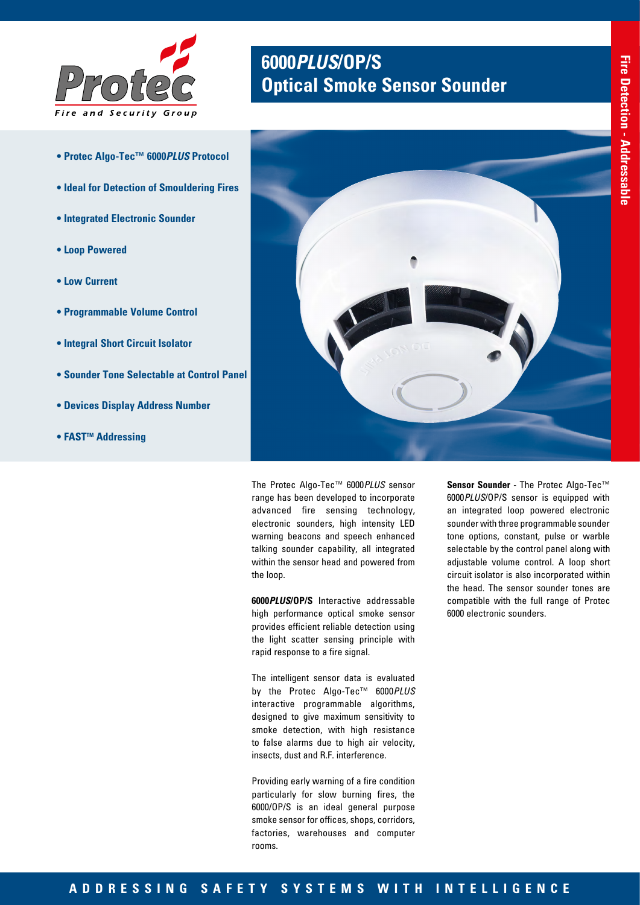

- **Protec Algo-Tec™ 6000***PLUS* **Protocol**
- **Ideal for Detection of Smouldering Fires**
- **Integrated Electronic Sounder**
- **Loop Powered**
- **Low Current**
- **Programmable Volume Control**
- **Integral Short Circuit Isolator**
- **Sounder Tone Selectable at Control Panel**
- **Devices Display Address Number**
- **FAST™ Addressing**

# **6000***PLUS***/OP/S Optical Smoke Sensor Sounder**



The Protec Algo-Tec™ 6000*PLUS* sensor range has been developed to incorporate advanced fire sensing technology, electronic sounders, high intensity LED warning beacons and speech enhanced talking sounder capability, all integrated within the sensor head and powered from the loop.

**6000***PLUS***/OP/S** Interactive addressable high performance optical smoke sensor provides efficient reliable detection using the light scatter sensing principle with rapid response to a fire signal.

The intelligent sensor data is evaluated by the Protec Algo-Tec™ 6000*PLUS* interactive programmable algorithms, designed to give maximum sensitivity to smoke detection, with high resistance to false alarms due to high air velocity, insects, dust and R.F. interference.

Providing early warning of a fire condition particularly for slow burning fires, the 6000/OP/S is an ideal general purpose smoke sensor for offices, shops, corridors, factories, warehouses and computer rooms.

**Sensor Sounder** - The Protec Algo-Tec™ 6000*PLUS*/OP/S sensor is equipped with an integrated loop powered electronic sounder with three programmable sounder tone options, constant, pulse or warble selectable by the control panel along with adjustable volume control. A loop short circuit isolator is also incorporated within the head. The sensor sounder tones are compatible with the full range of Protec 6000 electronic sounders.